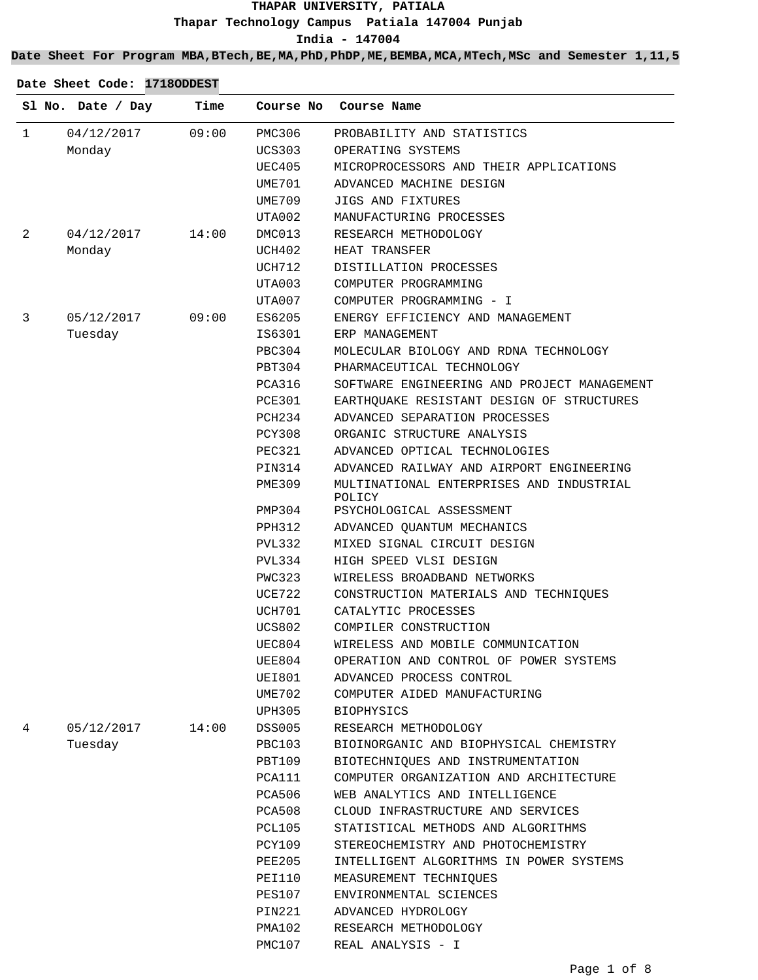**Date Sheet For Program MBA,BTech,BE,MA,PhD,PhDP,ME,BEMBA,MCA,MTech,MSc and Semester 1,11,5**

|   | Sl No. Date / Day | Time  |               | Course No Course Name                              |
|---|-------------------|-------|---------------|----------------------------------------------------|
| 1 | 04/12/2017        | 09:00 | PMC306        | PROBABILITY AND STATISTICS                         |
|   | Monday            |       | UCS303        | OPERATING SYSTEMS                                  |
|   |                   |       | UEC405        | MICROPROCESSORS AND THEIR APPLICATIONS             |
|   |                   |       | UME701        | ADVANCED MACHINE DESIGN                            |
|   |                   |       | UME709        | JIGS AND FIXTURES                                  |
|   |                   |       | UTA002        | MANUFACTURING PROCESSES                            |
| 2 | 04/12/2017        | 14:00 | DMC013        | RESEARCH METHODOLOGY                               |
|   | Monday            |       | UCH402        | HEAT TRANSFER                                      |
|   |                   |       | UCH712        | DISTILLATION PROCESSES                             |
|   |                   |       | UTA003        | COMPUTER PROGRAMMING                               |
|   |                   |       | UTA007        | COMPUTER PROGRAMMING - I                           |
|   | 05/12/2017        | 09:00 | ES6205        | ENERGY EFFICIENCY AND MANAGEMENT                   |
|   | Tuesday           |       | IS6301        | ERP MANAGEMENT                                     |
|   |                   |       | PBC304        | MOLECULAR BIOLOGY AND RDNA TECHNOLOGY              |
|   |                   |       | PBT304        | PHARMACEUTICAL TECHNOLOGY                          |
|   |                   |       | PCA316        | SOFTWARE ENGINEERING AND PROJECT MANAGEMENT        |
|   |                   |       | PCE301        | EARTHQUAKE RESISTANT DESIGN OF STRUCTURES          |
|   |                   |       | PCH234        | ADVANCED SEPARATION PROCESSES                      |
|   |                   |       | PCY308        | ORGANIC STRUCTURE ANALYSIS                         |
|   |                   |       | PEC321        | ADVANCED OPTICAL TECHNOLOGIES                      |
|   |                   |       | PIN314        | ADVANCED RAILWAY AND AIRPORT ENGINEERING           |
|   |                   |       | PME309        | MULTINATIONAL ENTERPRISES AND INDUSTRIAL<br>POLICY |
|   |                   |       | PMP304        | PSYCHOLOGICAL ASSESSMENT                           |
|   |                   |       | PPH312        | ADVANCED QUANTUM MECHANICS                         |
|   |                   |       | PVL332        | MIXED SIGNAL CIRCUIT DESIGN                        |
|   |                   |       | PVL334        | HIGH SPEED VLSI DESIGN                             |
|   |                   |       | PWC323        | WIRELESS BROADBAND NETWORKS                        |
|   |                   |       | UCE722        | CONSTRUCTION MATERIALS AND TECHNIQUES              |
|   |                   |       | UCH701        | CATALYTIC PROCESSES                                |
|   |                   |       | <b>UCS802</b> | COMPILER CONSTRUCTION                              |
|   |                   |       | UEC804        | WIRELESS AND MOBILE COMMUNICATION                  |
|   |                   |       | UEE804        | OPERATION AND CONTROL OF POWER SYSTEMS             |
|   |                   |       | UEI801        | ADVANCED PROCESS CONTROL                           |
|   |                   |       | UME702        | COMPUTER AIDED MANUFACTURING                       |
|   |                   |       | UPH305        | <b>BIOPHYSICS</b>                                  |
|   | 05/12/2017        | 14:00 | DSS005        | RESEARCH METHODOLOGY                               |
|   | Tuesday           |       | PBC103        | BIOINORGANIC AND BIOPHYSICAL CHEMISTRY             |
|   |                   |       | PBT109        | BIOTECHNIOUES AND INSTRUMENTATION                  |
|   |                   |       | PCA111        | COMPUTER ORGANIZATION AND ARCHITECTURE             |
|   |                   |       | PCA506        | WEB ANALYTICS AND INTELLIGENCE                     |
|   |                   |       | PCA508        | CLOUD INFRASTRUCTURE AND SERVICES                  |
|   |                   |       | <b>PCL105</b> | STATISTICAL METHODS AND ALGORITHMS                 |
|   |                   |       | PCY109        | STEREOCHEMISTRY AND PHOTOCHEMISTRY                 |
|   |                   |       | PEE205        | INTELLIGENT ALGORITHMS IN POWER SYSTEMS            |
|   |                   |       | PEI110        | MEASUREMENT TECHNIQUES                             |
|   |                   |       | PES107        | ENVIRONMENTAL SCIENCES                             |
|   |                   |       | PIN221        | ADVANCED HYDROLOGY                                 |

PMA102

PMC107 REAL ANALYSIS - I

RESEARCH METHODOLOGY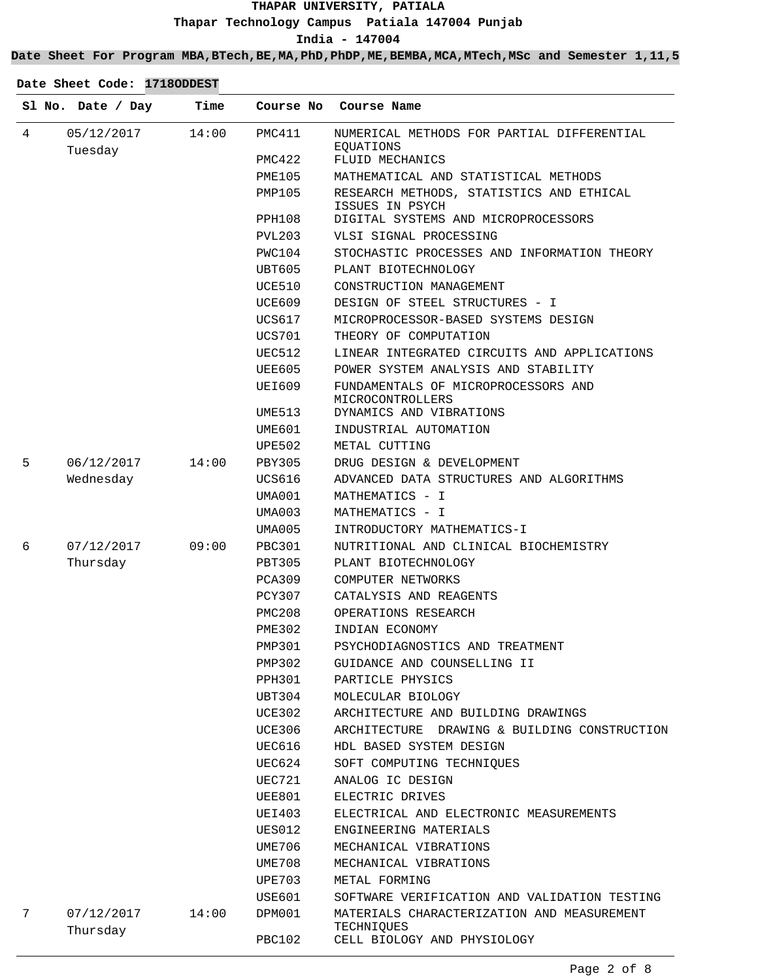**Date Sheet For Program MBA,BTech,BE,MA,PhD,PhDP,ME,BEMBA,MCA,MTech,MSc and Semester 1,11,5**

|   | Sl No. Date / Day      | Time  | Course No     | Course Name                                                 |
|---|------------------------|-------|---------------|-------------------------------------------------------------|
| 4 | 05/12/2017<br>Tuesday  | 14:00 | PMC411        | NUMERICAL METHODS FOR PARTIAL DIFFERENTIAL<br>EQUATIONS     |
|   |                        |       | PMC422        | FLUID MECHANICS                                             |
|   |                        |       | PME105        | MATHEMATICAL AND STATISTICAL METHODS                        |
|   |                        |       | PMP105        | RESEARCH METHODS, STATISTICS AND ETHICAL<br>ISSUES IN PSYCH |
|   |                        |       | PPH108        | DIGITAL SYSTEMS AND MICROPROCESSORS                         |
|   |                        |       | PVL203        | VLSI SIGNAL PROCESSING                                      |
|   |                        |       | PWC104        | STOCHASTIC PROCESSES AND INFORMATION THEORY                 |
|   |                        |       | UBT605        | PLANT BIOTECHNOLOGY                                         |
|   |                        |       | UCE510        | CONSTRUCTION MANAGEMENT                                     |
|   |                        |       | UCE609        | DESIGN OF STEEL STRUCTURES - I                              |
|   |                        |       | UCS617        | MICROPROCESSOR-BASED SYSTEMS DESIGN                         |
|   |                        |       | UCS701        | THEORY OF COMPUTATION                                       |
|   |                        |       | UEC512        | LINEAR INTEGRATED CIRCUITS AND APPLICATIONS                 |
|   |                        |       | UEE605        | POWER SYSTEM ANALYSIS AND STABILITY                         |
|   |                        |       | UEI609        | FUNDAMENTALS OF MICROPROCESSORS AND<br>MICROCONTROLLERS     |
|   |                        |       | UME513        | DYNAMICS AND VIBRATIONS                                     |
|   |                        |       | UME601        | INDUSTRIAL AUTOMATION                                       |
|   |                        |       | UPE502        | METAL CUTTING                                               |
| 5 | 06/12/2017             | 14:00 | PBY305        | DRUG DESIGN & DEVELOPMENT                                   |
|   | Wednesday              |       | UCS616        | ADVANCED DATA STRUCTURES AND ALGORITHMS                     |
|   |                        |       | UMA001        | MATHEMATICS - I                                             |
|   |                        |       | UMA003        | MATHEMATICS - I                                             |
|   |                        |       | UMA005        | INTRODUCTORY MATHEMATICS-I                                  |
| 6 | 07/12/2017             | 09:00 | <b>PBC301</b> | NUTRITIONAL AND CLINICAL BIOCHEMISTRY                       |
|   | Thursday               |       | PBT305        | PLANT BIOTECHNOLOGY                                         |
|   |                        |       | PCA309        | COMPUTER NETWORKS                                           |
|   |                        |       | PCY307        | CATALYSIS AND REAGENTS                                      |
|   |                        |       | PMC208        | OPERATIONS RESEARCH                                         |
|   |                        |       | <b>PME302</b> | INDIAN ECONOMY                                              |
|   |                        |       | PMP301        | PSYCHODIAGNOSTICS AND TREATMENT                             |
|   |                        |       | PMP302        | GUIDANCE AND COUNSELLING II                                 |
|   |                        |       | PPH301        | PARTICLE PHYSICS                                            |
|   |                        |       | UBT304        | MOLECULAR BIOLOGY                                           |
|   |                        |       | <b>UCE302</b> | ARCHITECTURE AND BUILDING DRAWINGS                          |
|   |                        |       | UCE306        | DRAWING & BUILDING CONSTRUCTION<br>ARCHITECTURE             |
|   |                        |       | UEC616        | HDL BASED SYSTEM DESIGN                                     |
|   |                        |       | UEC624        | SOFT COMPUTING TECHNIQUES                                   |
|   |                        |       | UEC721        | ANALOG IC DESIGN                                            |
|   |                        |       | UEE801        | ELECTRIC DRIVES                                             |
|   |                        |       | UEI403        | ELECTRICAL AND ELECTRONIC MEASUREMENTS                      |
|   |                        |       | UES012        | ENGINEERING MATERIALS                                       |
|   |                        |       | UME706        | MECHANICAL VIBRATIONS                                       |
|   |                        |       | UME708        | MECHANICAL VIBRATIONS                                       |
|   |                        |       | <b>UPE703</b> | METAL FORMING                                               |
|   |                        |       | USE601        | SOFTWARE VERIFICATION AND VALIDATION TESTING                |
| 7 | 07/12/2017<br>Thursday | 14:00 | DPM001        | MATERIALS CHARACTERIZATION AND MEASUREMENT<br>TECHNIQUES    |
|   |                        |       | <b>PBC102</b> | CELL BIOLOGY AND PHYSIOLOGY                                 |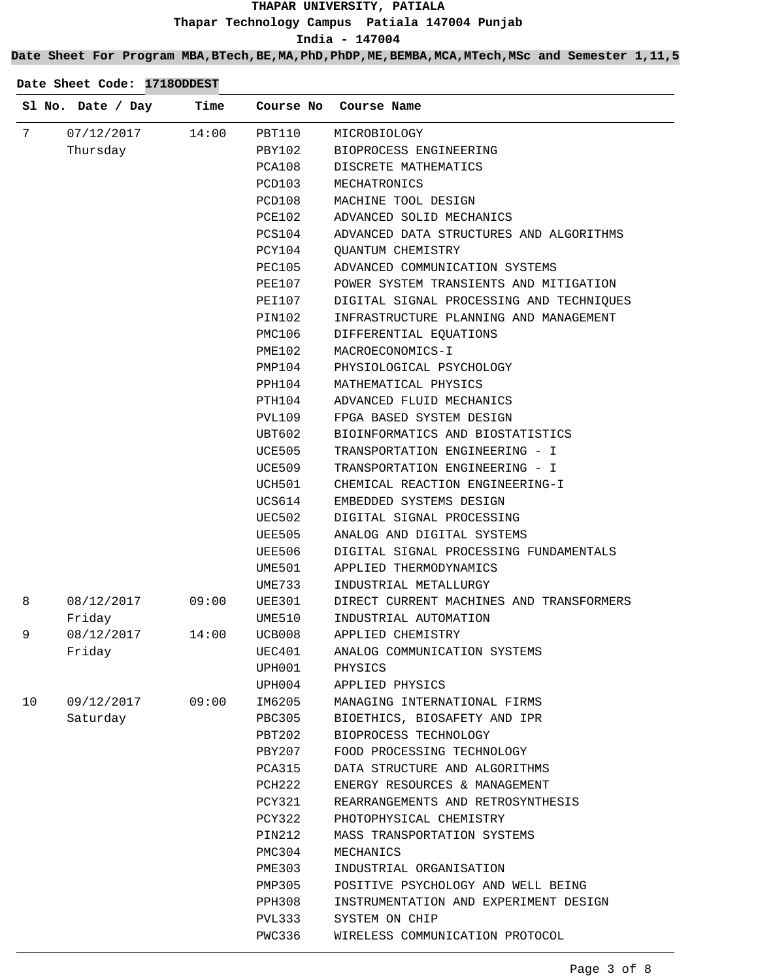## **Date Sheet For Program MBA,BTech,BE,MA,PhD,PhDP,ME,BEMBA,MCA,MTech,MSc and Semester 1,11,5**

|    | Sl No. Date / Day | Time  | Course No | Course Name                              |
|----|-------------------|-------|-----------|------------------------------------------|
| 7  | 07/12/2017        | 14:00 | PBT110    | MICROBIOLOGY                             |
|    | Thursday          |       | PBY102    | BIOPROCESS ENGINEERING                   |
|    |                   |       | PCA108    | DISCRETE MATHEMATICS                     |
|    |                   |       | PCD103    | MECHATRONICS                             |
|    |                   |       | PCD108    | MACHINE TOOL DESIGN                      |
|    |                   |       | PCE102    | ADVANCED SOLID MECHANICS                 |
|    |                   |       | PCS104    | ADVANCED DATA STRUCTURES AND ALGORITHMS  |
|    |                   |       | PCY104    | <b>QUANTUM CHEMISTRY</b>                 |
|    |                   |       | PEC105    | ADVANCED COMMUNICATION SYSTEMS           |
|    |                   |       | PEE107    | POWER SYSTEM TRANSIENTS AND MITIGATION   |
|    |                   |       | PEI107    | DIGITAL SIGNAL PROCESSING AND TECHNIQUES |
|    |                   |       | PIN102    | INFRASTRUCTURE PLANNING AND MANAGEMENT   |
|    |                   |       | PMC106    | DIFFERENTIAL EQUATIONS                   |
|    |                   |       | PME102    | MACROECONOMICS-I                         |
|    |                   |       | PMP104    | PHYSIOLOGICAL PSYCHOLOGY                 |
|    |                   |       | PPH104    | MATHEMATICAL PHYSICS                     |
|    |                   |       | PTH104    | ADVANCED FLUID MECHANICS                 |
|    |                   |       | PVL109    | FPGA BASED SYSTEM DESIGN                 |
|    |                   |       | UBT602    | BIOINFORMATICS AND BIOSTATISTICS         |
|    |                   |       | UCE505    | TRANSPORTATION ENGINEERING - I           |
|    |                   |       | UCE509    | TRANSPORTATION ENGINEERING - I           |
|    |                   |       | UCH501    | CHEMICAL REACTION ENGINEERING-I          |
|    |                   |       | UCS614    | EMBEDDED SYSTEMS DESIGN                  |
|    |                   |       | UEC502    | DIGITAL SIGNAL PROCESSING                |
|    |                   |       | UEE505    | ANALOG AND DIGITAL SYSTEMS               |
|    |                   |       | UEE506    | DIGITAL SIGNAL PROCESSING FUNDAMENTALS   |
|    |                   |       | UME501    | APPLIED THERMODYNAMICS                   |
|    |                   |       | UME733    | INDUSTRIAL METALLURGY                    |
| 8  | 08/12/2017        | 09:00 | UEE301    | DIRECT CURRENT MACHINES AND TRANSFORMERS |
|    | Friday            |       | UME510    | INDUSTRIAL AUTOMATION                    |
| 9  | 08/12/2017        | 14:00 | UCB008    | APPLIED CHEMISTRY                        |
|    | Friday            |       | UEC401    | ANALOG COMMUNICATION SYSTEMS             |
|    |                   |       | UPH001    | PHYSICS                                  |
|    |                   |       | UPH004    | APPLIED PHYSICS                          |
| 10 | 09/12/2017        | 09:00 | IM6205    | MANAGING INTERNATIONAL FIRMS             |
|    | Saturday          |       | PBC305    | BIOETHICS, BIOSAFETY AND IPR             |
|    |                   |       | PBT202    | BIOPROCESS TECHNOLOGY                    |
|    |                   |       | PBY207    | FOOD PROCESSING TECHNOLOGY               |
|    |                   |       | PCA315    | DATA STRUCTURE AND ALGORITHMS            |
|    |                   |       | PCH222    | ENERGY RESOURCES & MANAGEMENT            |
|    |                   |       | PCY321    | REARRANGEMENTS AND RETROSYNTHESIS        |
|    |                   |       | PCY322    | PHOTOPHYSICAL CHEMISTRY                  |
|    |                   |       | PIN212    | MASS TRANSPORTATION SYSTEMS              |
|    |                   |       | PMC304    | MECHANICS                                |
|    |                   |       | PME303    | INDUSTRIAL ORGANISATION                  |
|    |                   |       | PMP305    | POSITIVE PSYCHOLOGY AND WELL BEING       |
|    |                   |       | PPH308    | INSTRUMENTATION AND EXPERIMENT DESIGN    |
|    |                   |       | PVL333    | SYSTEM ON CHIP                           |
|    |                   |       | PWC336    | WIRELESS COMMUNICATION PROTOCOL          |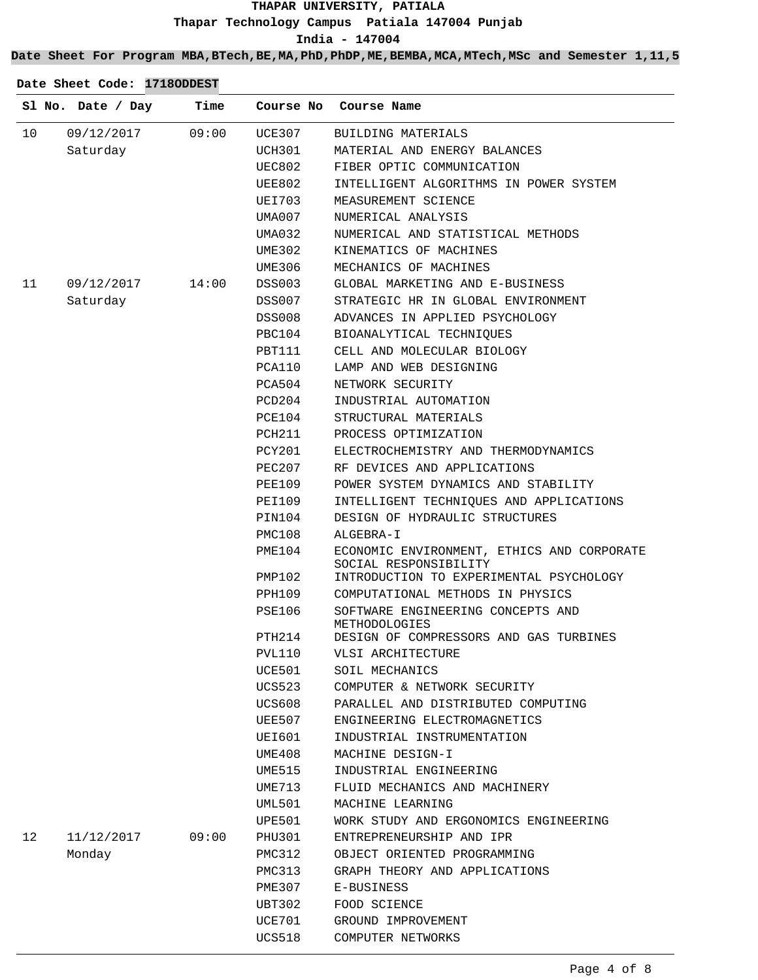**Date Sheet For Program MBA,BTech,BE,MA,PhD,PhDP,ME,BEMBA,MCA,MTech,MSc and Semester 1,11,5**

|    | Sl No. Date / Day | Time  |               | Course No Course Name                                               |
|----|-------------------|-------|---------------|---------------------------------------------------------------------|
| 10 | 09/12/2017        | 09:00 | UCE307        | BUILDING MATERIALS                                                  |
|    | Saturday          |       | UCH301        | MATERIAL AND ENERGY BALANCES                                        |
|    |                   |       | <b>UEC802</b> | FIBER OPTIC COMMUNICATION                                           |
|    |                   |       | UEE802        | INTELLIGENT ALGORITHMS IN POWER SYSTEM                              |
|    |                   |       | UEI703        | MEASUREMENT SCIENCE                                                 |
|    |                   |       | UMA007        | NUMERICAL ANALYSIS                                                  |
|    |                   |       | UMA032        | NUMERICAL AND STATISTICAL METHODS                                   |
|    |                   |       | UME302        | KINEMATICS OF MACHINES                                              |
|    |                   |       | UME306        | MECHANICS OF MACHINES                                               |
| 11 | 09/12/2017        | 14:00 | DSS003        | GLOBAL MARKETING AND E-BUSINESS                                     |
|    | Saturday          |       | <b>DSS007</b> | STRATEGIC HR IN GLOBAL ENVIRONMENT                                  |
|    |                   |       | DSS008        | ADVANCES IN APPLIED PSYCHOLOGY                                      |
|    |                   |       | PBC104        | BIOANALYTICAL TECHNIQUES                                            |
|    |                   |       | PBT111        | CELL AND MOLECULAR BIOLOGY                                          |
|    |                   |       | PCA110        | LAMP AND WEB DESIGNING                                              |
|    |                   |       | PCA504        | NETWORK SECURITY                                                    |
|    |                   |       | PCD204        | INDUSTRIAL AUTOMATION                                               |
|    |                   |       | PCE104        | STRUCTURAL MATERIALS                                                |
|    |                   |       | PCH211        | PROCESS OPTIMIZATION                                                |
|    |                   |       | PCY201        | ELECTROCHEMISTRY AND THERMODYNAMICS                                 |
|    |                   |       | PEC207        | RF DEVICES AND APPLICATIONS                                         |
|    |                   |       | PEE109        | POWER SYSTEM DYNAMICS AND STABILITY                                 |
|    |                   |       | PEI109        | INTELLIGENT TECHNIQUES AND APPLICATIONS                             |
|    |                   |       | PIN104        | DESIGN OF HYDRAULIC STRUCTURES                                      |
|    |                   |       | PMC108        | ALGEBRA-I                                                           |
|    |                   |       | PME104        | ECONOMIC ENVIRONMENT, ETHICS AND CORPORATE<br>SOCIAL RESPONSIBILITY |
|    |                   |       | PMP102        | INTRODUCTION TO EXPERIMENTAL PSYCHOLOGY                             |
|    |                   |       | PPH109        | COMPUTATIONAL METHODS IN PHYSICS                                    |
|    |                   |       | PSE106        | SOFTWARE ENGINEERING CONCEPTS AND<br>METHODOLOGIES                  |
|    |                   |       | PTH214        | DESIGN OF COMPRESSORS AND GAS TURBINES                              |
|    |                   |       | <b>PVL110</b> | VLSI ARCHITECTURE                                                   |
|    |                   |       | UCE501        | SOIL MECHANICS                                                      |
|    |                   |       | UCS523        | COMPUTER & NETWORK SECURITY                                         |
|    |                   |       | UCS608        | PARALLEL AND DISTRIBUTED COMPUTING                                  |
|    |                   |       | UEE507        | ENGINEERING ELECTROMAGNETICS                                        |
|    |                   |       | UEI601        | INDUSTRIAL INSTRUMENTATION                                          |
|    |                   |       | UME408        | MACHINE DESIGN-I                                                    |
|    |                   |       | UME515        | INDUSTRIAL ENGINEERING                                              |
|    |                   |       | UME713        | FLUID MECHANICS AND MACHINERY                                       |
|    |                   |       | <b>UML501</b> | MACHINE LEARNING                                                    |
|    |                   |       | UPE501        | WORK STUDY AND ERGONOMICS ENGINEERING                               |
| 12 | 11/12/2017        | 09:00 | PHU301        | ENTREPRENEURSHIP AND IPR                                            |
|    | Monday            |       | PMC312        | OBJECT ORIENTED PROGRAMMING                                         |
|    |                   |       | PMC313        | GRAPH THEORY AND APPLICATIONS                                       |
|    |                   |       | PME307        | E-BUSINESS                                                          |
|    |                   |       | UBT302        | FOOD SCIENCE                                                        |
|    |                   |       | UCE701        | GROUND IMPROVEMENT                                                  |
|    |                   |       | <b>UCS518</b> | COMPUTER NETWORKS                                                   |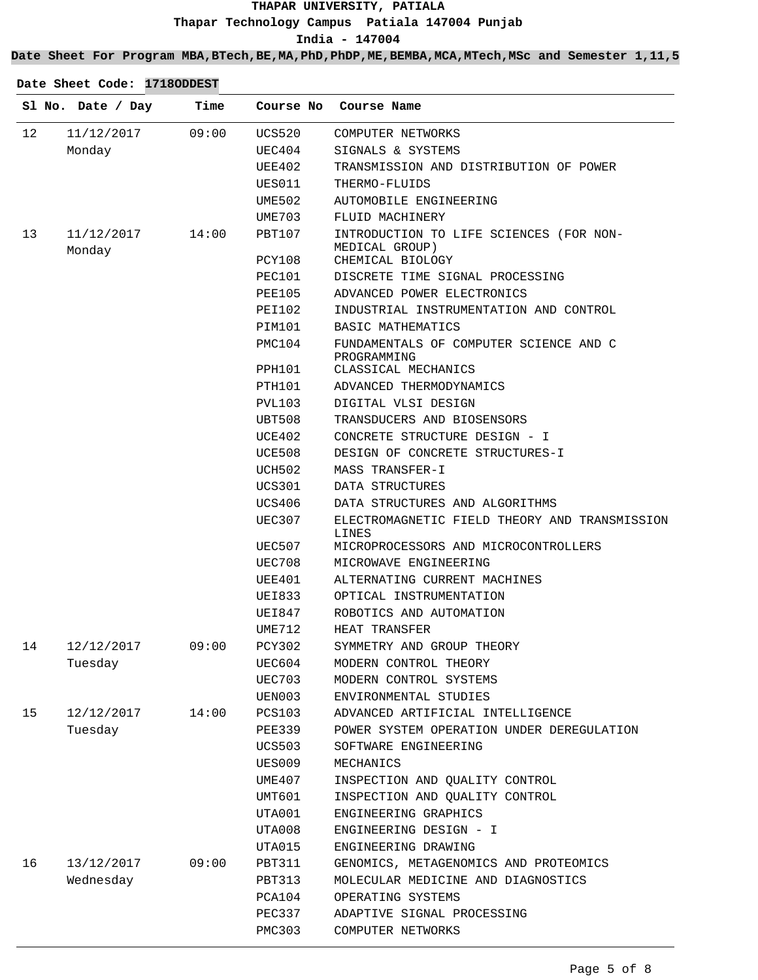### **Date Sheet For Program MBA,BTech,BE,MA,PhD,PhDP,ME,BEMBA,MCA,MTech,MSc and Semester 1,11,5**

|    | Sl No. Date / Day    | Time  | Course No               | Course Name                                                                                    |
|----|----------------------|-------|-------------------------|------------------------------------------------------------------------------------------------|
| 12 | 11/12/2017           | 09:00 | UCS520                  | COMPUTER NETWORKS                                                                              |
|    | Monday               |       | UEC404                  | SIGNALS & SYSTEMS                                                                              |
|    |                      |       | UEE402                  | TRANSMISSION AND DISTRIBUTION OF POWER                                                         |
|    |                      |       | UES011                  | THERMO-FLUIDS                                                                                  |
|    |                      |       | UME502                  | AUTOMOBILE ENGINEERING                                                                         |
|    |                      |       | UME703                  | FLUID MACHINERY                                                                                |
| 13 | 11/12/2017<br>Monday | 14:00 | PBT107                  | INTRODUCTION TO LIFE SCIENCES (FOR NON-<br>MEDICAL GROUP)                                      |
|    |                      |       | PCY108                  | CHEMICAL BIOLOGY                                                                               |
|    |                      |       | PEC101                  | DISCRETE TIME SIGNAL PROCESSING                                                                |
|    |                      |       | PEE105                  | ADVANCED POWER ELECTRONICS                                                                     |
|    |                      |       | PEI102                  | INDUSTRIAL INSTRUMENTATION AND CONTROL                                                         |
|    |                      |       | PIM101                  | BASIC MATHEMATICS                                                                              |
|    |                      |       | PMC104                  | FUNDAMENTALS OF COMPUTER SCIENCE AND C<br>PROGRAMMING                                          |
|    |                      |       | PPH101                  | CLASSICAL MECHANICS                                                                            |
|    |                      |       | PTH101                  | ADVANCED THERMODYNAMICS                                                                        |
|    |                      |       | PVL103                  | DIGITAL VLSI DESIGN                                                                            |
|    |                      |       | UBT508                  | TRANSDUCERS AND BIOSENSORS                                                                     |
|    |                      |       | UCE402                  | CONCRETE STRUCTURE DESIGN - I                                                                  |
|    |                      |       | UCE508                  | DESIGN OF CONCRETE STRUCTURES-I                                                                |
|    |                      |       | UCH502                  | MASS TRANSFER-I                                                                                |
|    |                      |       | <b>UCS301</b>           | DATA STRUCTURES                                                                                |
|    |                      |       | UCS406                  | DATA STRUCTURES AND ALGORITHMS                                                                 |
|    |                      |       | <b>UEC307</b><br>UEC507 | ELECTROMAGNETIC FIELD THEORY AND TRANSMISSION<br>LINES<br>MICROPROCESSORS AND MICROCONTROLLERS |
|    |                      |       | UEC708                  | MICROWAVE ENGINEERING                                                                          |
|    |                      |       | UEE401                  | ALTERNATING CURRENT MACHINES                                                                   |
|    |                      |       | UEI833                  | OPTICAL INSTRUMENTATION                                                                        |
|    |                      |       | UEI847                  | ROBOTICS AND AUTOMATION                                                                        |
|    |                      |       | UME712                  | HEAT TRANSFER                                                                                  |
| 14 | 12/12/2017           | 09:00 | PCY302                  | SYMMETRY AND GROUP THEORY                                                                      |
|    | Tuesday              |       | UEC604                  | MODERN CONTROL THEORY                                                                          |
|    |                      |       | UEC703                  | MODERN CONTROL SYSTEMS                                                                         |
|    |                      |       | UEN003                  | ENVIRONMENTAL STUDIES                                                                          |
| 15 | 12/12/2017           | 14:00 | PCS103                  | ADVANCED ARTIFICIAL INTELLIGENCE                                                               |
|    | Tuesday              |       | PEE339                  | POWER SYSTEM OPERATION UNDER DEREGULATION                                                      |
|    |                      |       | <b>UCS503</b>           | SOFTWARE ENGINEERING                                                                           |
|    |                      |       | UES009                  | MECHANICS                                                                                      |
|    |                      |       | UME407                  | INSPECTION AND QUALITY CONTROL                                                                 |
|    |                      |       |                         |                                                                                                |
|    |                      |       | UMT601                  | INSPECTION AND QUALITY CONTROL                                                                 |
|    |                      |       | UTA001                  | ENGINEERING GRAPHICS                                                                           |
|    |                      |       | UTA008                  | ENGINEERING DESIGN - I                                                                         |
|    |                      |       | UTA015                  | ENGINEERING DRAWING                                                                            |
| 16 | 13/12/2017           | 09:00 | PBT311                  | GENOMICS, METAGENOMICS AND PROTEOMICS                                                          |
|    | Wednesday            |       | PBT313                  | MOLECULAR MEDICINE AND DIAGNOSTICS                                                             |
|    |                      |       | PCA104                  | OPERATING SYSTEMS                                                                              |
|    |                      |       | PEC337                  | ADAPTIVE SIGNAL PROCESSING                                                                     |
|    |                      |       | PMC303                  | COMPUTER NETWORKS                                                                              |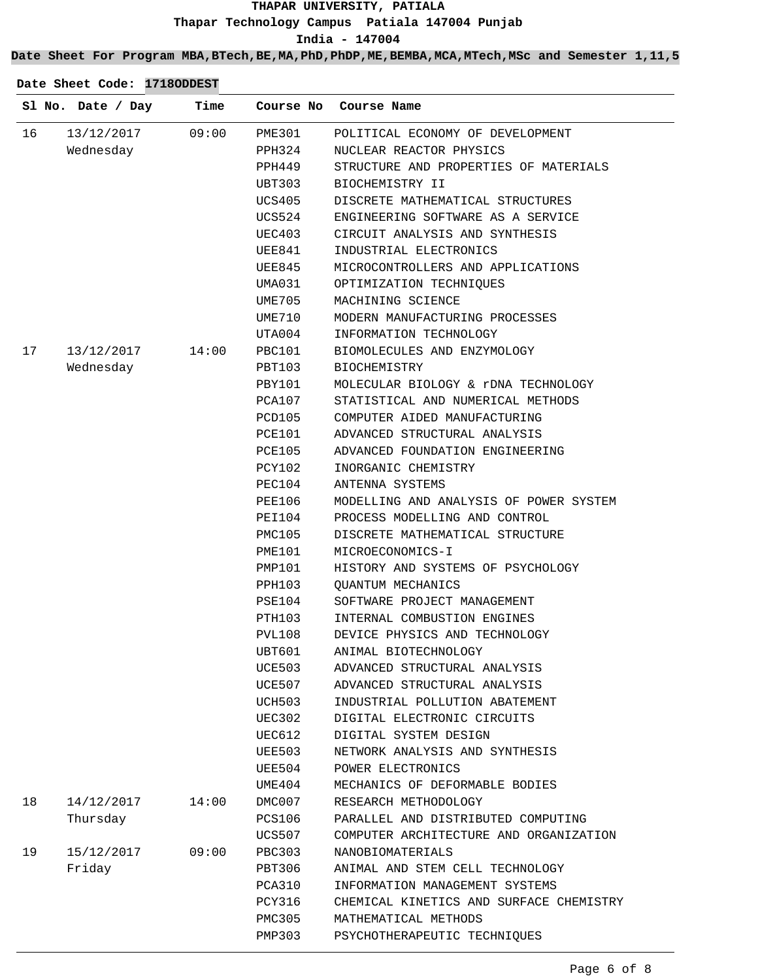## **Date Sheet For Program MBA,BTech,BE,MA,PhD,PhDP,ME,BEMBA,MCA,MTech,MSc and Semester 1,11,5**

|    | Sl No. Date / Day | Time  |                         | Course No Course Name                   |
|----|-------------------|-------|-------------------------|-----------------------------------------|
| 16 | 13/12/2017        | 09:00 | <b>PME301</b>           | POLITICAL ECONOMY OF DEVELOPMENT        |
|    | Wednesday         |       | PPH324                  | NUCLEAR REACTOR PHYSICS                 |
|    |                   |       | PPH449                  | STRUCTURE AND PROPERTIES OF MATERIALS   |
|    |                   |       | UBT303                  | BIOCHEMISTRY II                         |
|    |                   |       | UCS405                  | DISCRETE MATHEMATICAL STRUCTURES        |
|    |                   |       | UCS524                  | ENGINEERING SOFTWARE AS A SERVICE       |
|    |                   |       | UEC403                  | CIRCUIT ANALYSIS AND SYNTHESIS          |
|    |                   |       | UEE841                  | INDUSTRIAL ELECTRONICS                  |
|    |                   |       | UEE845                  | MICROCONTROLLERS AND APPLICATIONS       |
|    |                   |       | UMA031                  | OPTIMIZATION TECHNIQUES                 |
|    |                   |       | UME705                  | MACHINING SCIENCE                       |
|    |                   |       | UME710                  | MODERN MANUFACTURING PROCESSES          |
|    |                   |       | UTA004                  | INFORMATION TECHNOLOGY                  |
| 17 | 13/12/2017        | 14:00 | PBC101                  | BIOMOLECULES AND ENZYMOLOGY             |
|    | Wednesday         |       | PBT103                  | BIOCHEMISTRY                            |
|    |                   |       | PBY101                  | MOLECULAR BIOLOGY & rDNA TECHNOLOGY     |
|    |                   |       | PCA107                  | STATISTICAL AND NUMERICAL METHODS       |
|    |                   |       | PCD105                  | COMPUTER AIDED MANUFACTURING            |
|    |                   |       | PCE101                  | ADVANCED STRUCTURAL ANALYSIS            |
|    |                   |       | PCE105                  | ADVANCED FOUNDATION ENGINEERING         |
|    |                   |       | PCY102                  | INORGANIC CHEMISTRY                     |
|    |                   |       | PEC104                  | ANTENNA SYSTEMS                         |
|    |                   |       | PEE106                  | MODELLING AND ANALYSIS OF POWER SYSTEM  |
|    |                   |       | PEI104                  | PROCESS MODELLING AND CONTROL           |
|    |                   |       | PMC105                  | DISCRETE MATHEMATICAL STRUCTURE         |
|    |                   |       | PME101                  | MICROECONOMICS-I                        |
|    |                   |       | PMP101                  | HISTORY AND SYSTEMS OF PSYCHOLOGY       |
|    |                   |       | PPH103                  | <b>QUANTUM MECHANICS</b>                |
|    |                   |       | PSE104                  | SOFTWARE PROJECT MANAGEMENT             |
|    |                   |       | PTH103                  | INTERNAL COMBUSTION ENGINES             |
|    |                   |       | PVL108                  | DEVICE PHYSICS AND TECHNOLOGY           |
|    |                   |       | UBT601                  | ANIMAL BIOTECHNOLOGY                    |
|    |                   |       | <b>UCE503</b>           | ADVANCED STRUCTURAL ANALYSIS            |
|    |                   |       | UCE507                  | ADVANCED STRUCTURAL ANALYSIS            |
|    |                   |       | UCH503                  | INDUSTRIAL POLLUTION ABATEMENT          |
|    |                   |       |                         |                                         |
|    |                   |       | UEC302                  | DIGITAL ELECTRONIC CIRCUITS             |
|    |                   |       | UEC612<br><b>UEE503</b> | DIGITAL SYSTEM DESIGN                   |
|    |                   |       |                         | NETWORK ANALYSIS AND SYNTHESIS          |
|    |                   |       | UEE504                  | POWER ELECTRONICS                       |
|    |                   |       | UME404                  | MECHANICS OF DEFORMABLE BODIES          |
| 18 | 14/12/2017        | 14:00 | DMC007                  | RESEARCH METHODOLOGY                    |
|    | Thursday          |       | <b>PCS106</b>           | PARALLEL AND DISTRIBUTED COMPUTING      |
|    |                   |       | UCS507                  | COMPUTER ARCHITECTURE AND ORGANIZATION  |
| 19 | 15/12/2017        | 09:00 | <b>PBC303</b>           | NANOBIOMATERIALS                        |
|    | Friday            |       | PBT306                  | ANIMAL AND STEM CELL TECHNOLOGY         |
|    |                   |       | <b>PCA310</b>           | INFORMATION MANAGEMENT SYSTEMS          |
|    |                   |       | PCY316                  | CHEMICAL KINETICS AND SURFACE CHEMISTRY |
|    |                   |       | PMC305                  | MATHEMATICAL METHODS                    |
|    |                   |       | <b>PMP303</b>           | PSYCHOTHERAPEUTIC TECHNIQUES            |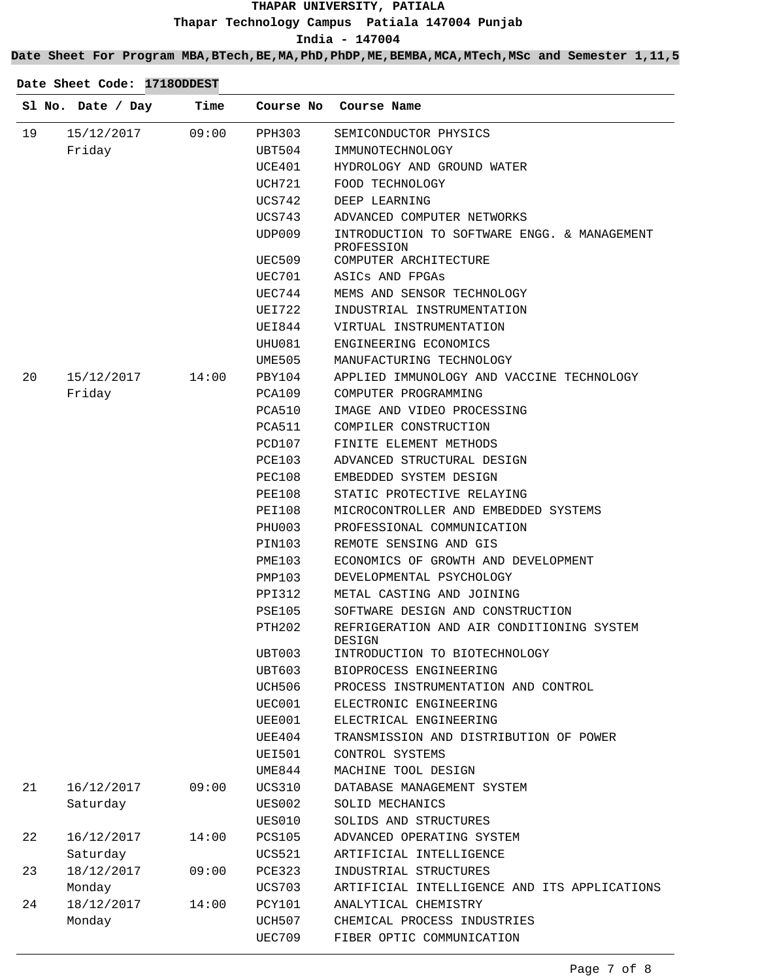## **Date Sheet For Program MBA,BTech,BE,MA,PhD,PhDP,ME,BEMBA,MCA,MTech,MSc and Semester 1,11,5**

|    | Sl No. Date / Day | Time  | Course No     | Course Name                                               |
|----|-------------------|-------|---------------|-----------------------------------------------------------|
| 19 | 15/12/2017        | 09:00 | PPH303        | SEMICONDUCTOR PHYSICS                                     |
|    | Friday            |       | UBT504        | IMMUNOTECHNOLOGY                                          |
|    |                   |       | UCE401        | HYDROLOGY AND GROUND WATER                                |
|    |                   |       | UCH721        | FOOD TECHNOLOGY                                           |
|    |                   |       | <b>UCS742</b> | DEEP LEARNING                                             |
|    |                   |       | UCS743        | ADVANCED COMPUTER NETWORKS                                |
|    |                   |       | UDP009        | INTRODUCTION TO SOFTWARE ENGG. & MANAGEMENT<br>PROFESSION |
|    |                   |       | UEC509        | COMPUTER ARCHITECTURE                                     |
|    |                   |       | UEC701        | ASICS AND FPGAS                                           |
|    |                   |       | UEC744        | MEMS AND SENSOR TECHNOLOGY                                |
|    |                   |       | UEI722        | INDUSTRIAL INSTRUMENTATION                                |
|    |                   |       | UEI844        | VIRTUAL INSTRUMENTATION                                   |
|    |                   |       | UHU081        | ENGINEERING ECONOMICS                                     |
|    |                   |       | <b>UME505</b> | MANUFACTURING TECHNOLOGY                                  |
| 20 | 15/12/2017        | 14:00 | PBY104        | APPLIED IMMUNOLOGY AND VACCINE TECHNOLOGY                 |
|    | Friday            |       | PCA109        | COMPUTER PROGRAMMING                                      |
|    |                   |       | PCA510        | IMAGE AND VIDEO PROCESSING                                |
|    |                   |       | PCA511        | COMPILER CONSTRUCTION                                     |
|    |                   |       | PCD107        | FINITE ELEMENT METHODS                                    |
|    |                   |       | PCE103        | ADVANCED STRUCTURAL DESIGN                                |
|    |                   |       | <b>PEC108</b> | EMBEDDED SYSTEM DESIGN                                    |
|    |                   |       | PEE108        | STATIC PROTECTIVE RELAYING                                |
|    |                   |       | PEI108        | MICROCONTROLLER AND EMBEDDED SYSTEMS                      |
|    |                   |       | PHU003        | PROFESSIONAL COMMUNICATION                                |
|    |                   |       | PIN103        | REMOTE SENSING AND GIS                                    |
|    |                   |       | PME103        | ECONOMICS OF GROWTH AND DEVELOPMENT                       |
|    |                   |       | PMP103        | DEVELOPMENTAL PSYCHOLOGY                                  |
|    |                   |       | PPI312        | METAL CASTING AND JOINING                                 |
|    |                   |       | PSE105        | SOFTWARE DESIGN AND CONSTRUCTION                          |
|    |                   |       | PTH202        | REFRIGERATION AND AIR CONDITIONING SYSTEM<br>DESIGN       |
|    |                   |       | UBT003        | INTRODUCTION TO BIOTECHNOLOGY                             |
|    |                   |       | UBT603        | BIOPROCESS ENGINEERING                                    |
|    |                   |       | UCH506        | PROCESS INSTRUMENTATION AND CONTROL                       |
|    |                   |       | UEC001        | ELECTRONIC ENGINEERING                                    |
|    |                   |       | UEE001        | ELECTRICAL ENGINEERING                                    |
|    |                   |       | UEE404        | TRANSMISSION AND DISTRIBUTION OF POWER                    |
|    |                   |       | <b>UEI501</b> | CONTROL SYSTEMS                                           |
|    |                   |       | UME844        | MACHINE TOOL DESIGN                                       |
| 21 | 16/12/2017        | 09:00 | <b>UCS310</b> | DATABASE MANAGEMENT SYSTEM                                |
|    | Saturday          |       | <b>UES002</b> | SOLID MECHANICS                                           |
|    |                   |       | UES010        | SOLIDS AND STRUCTURES                                     |
| 22 | 16/12/2017        | 14:00 | <b>PCS105</b> | ADVANCED OPERATING SYSTEM                                 |
|    | Saturday          |       | <b>UCS521</b> | ARTIFICIAL INTELLIGENCE                                   |
| 23 | 18/12/2017        | 09:00 | <b>PCE323</b> | INDUSTRIAL STRUCTURES                                     |
|    | Monday            |       | <b>UCS703</b> | ARTIFICIAL INTELLIGENCE AND ITS APPLICATIONS              |
| 24 | 18/12/2017        | 14:00 | PCY101        | ANALYTICAL CHEMISTRY                                      |
|    | Monday            |       | UCH507        | CHEMICAL PROCESS INDUSTRIES                               |
|    |                   |       | <b>UEC709</b> | FIBER OPTIC COMMUNICATION                                 |